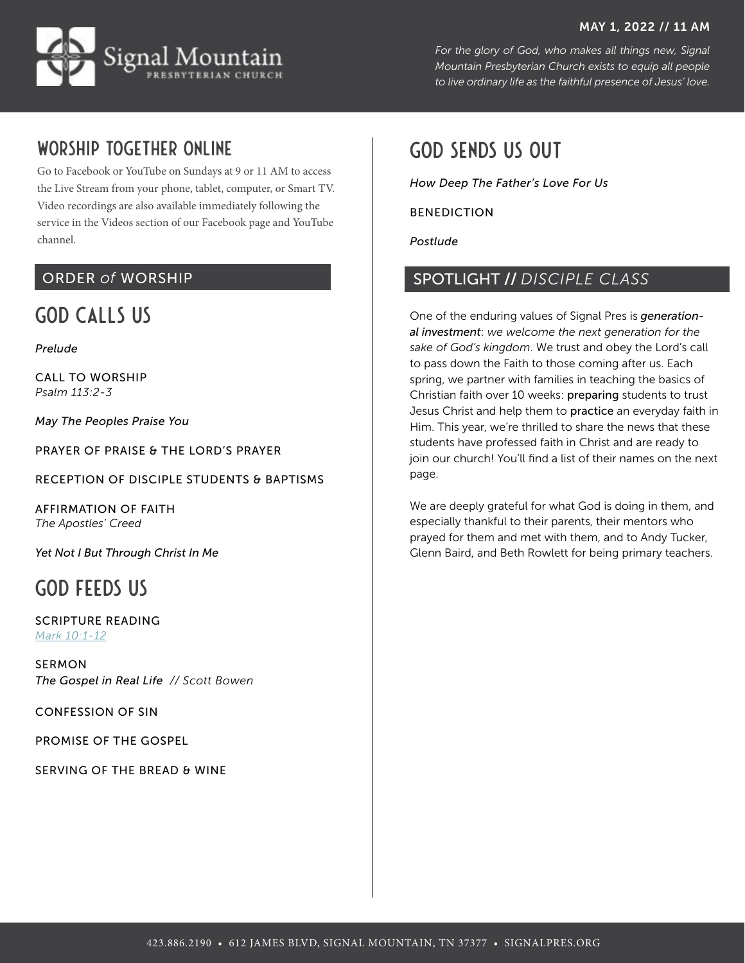#### MAY 1, 2022 // 11 AM



*For the glory of God, who makes all things new, Signal Mountain Presbyterian Church exists to equip all people to live ordinary life as the faithful presence of Jesus' love.*

## Worship together online

Go to [Facebook](http://facebook.com/signalpres) or [YouTube](https://www.youtube.com/channel/UCN6k6m813mW78zi-dpPVQpQ?view_as=subscriber) on Sundays at 9 or 11 AM to access the Live Stream from your phone, tablet, computer, or Smart TV. Video recordings are also available immediately following the service in the Videos section of our Facebook page and YouTube channel.

### ORDER *of* WORSHIP

# GOD CALLS US

*Prelude*

CALL TO WORSHIP *Psalm 113:2-3*

*May The Peoples Praise You*

PRAYER OF PRAISE & THE LORD'S PRAYER

RECEPTION OF DISCIPLE STUDENTS & BAPTISMS

AFFIRMATION OF FAITH *The Apostles' Creed*

*Yet Not I But Through Christ In Me*

## GOD FEEDS US

SCRIPTURE READING *[Mark 10:1-12](https://www.bible.com/bible/59/MRK.10.1-12.ESV)*

SERMON *The Gospel in Real Life // Scott Bowen* 

CONFESSION OF SIN

PROMISE OF THE GOSPEL

SERVING OF THE BREAD & WINE

## GOD SENDS US OUT

*How Deep The Father's Love For Us*

#### BENEDICTION

*Postlude*

### SPOTLIGHT // *DISCIPLE CLASS*

One of the enduring values of Signal Pres is *generational investment*: *we welcome the next generation for the sake of God's kingdom*. We trust and obey the Lord's call to pass down the Faith to those coming after us. Each spring, we partner with families in teaching the basics of Christian faith over 10 weeks: preparing students to trust Jesus Christ and help them to practice an everyday faith in Him. This year, we're thrilled to share the news that these students have professed faith in Christ and are ready to join our church! You'll find a list of their names on the next page.

We are deeply grateful for what God is doing in them, and especially thankful to their parents, their mentors who prayed for them and met with them, and to Andy Tucker, Glenn Baird, and Beth Rowlett for being primary teachers.